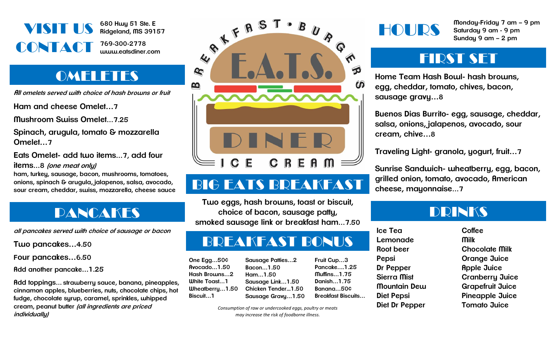

**680 Hwy 51 Ste. E Ridgeland, MS 39157**

**769-300-2778 www.eatsdiner.com**

### **OMELETES**

**All omelets served with choice of hash browns or fruit**

**Ham and cheese Omelet…7**

**Mushroom Swiss Omelet…7.25**

**Spinach, arugula, tomato & mozzarella Omelet…7**

**Eats Omelet- add two items…7, add four items…8 (one meat only)**

**ham, turkey, sausage, bacon, mushrooms, tomatoes, onions, spinach & arugula, jalapenos, salsa, avocado, sour cream, cheddar, swiss, mozzarella, cheese sauce**

# PANCAKES

**all pancakes served with choice of sausage or bacon**

**Two pancakes…4.50** 

**Four pancakes…6.50**

**Add another pancake…1.25**

**Add toppings… strawberry sauce, banana, pineapples, cinnamon apples, blueberries, nuts, chocolate chips, hot fudge, chocolate syrup, caramel, sprinkles, whipped cream, peanut butter (all ingredients are priced individually)**



# BIG EATS BREAKFAST

**Two eggs, hash browns, toast or biscuit, choice of bacon, sausage patty, smoked sausage link or breakfast ham…7.50**

# BREAKFAST BONUS

**Sausage Patties…2 Bacon…1.50 Ham…1.50**

**Sausage Link…1.50**

| One Egg $50$ $\diamond$ |
|-------------------------|
| Rvocado1.50             |
| Hash Browns2            |
| <b>White Toast1</b>     |
| Wheatberry1.50          |
| Biscuit1                |

**Chicken Tender...1.50 Sausage Gravy…1.50 Fruit Cup…3 Pancake….1.25 Muffins…1.75 Danish…1.75 Banana…50¢ Breakfast Biscuits…**

*Consumption of raw or undercooked eggs, poultry or meats may increase the risk of foodborne illness.*

HOURS

**Monday-Friday 7 am – 9 pm Saturday 9 am - 9 pm Sunday 9 am – 2 pm**

### FIRST SET

**Home Team Hash Bowl- hash browns, egg, cheddar, tomato, chives, bacon, sausage gravy…8**

**Buenos Dias Burrito- egg, sausage, cheddar, salsa, onions, jalapenos, avocado, sour cream, chive…8**

**Traveling Light- granola, yogurt, fruit…7**

**Sunrise Sandwich- wheatberry, egg, bacon, grilled onion, tomato, avocado, American cheese, mayonnaise…7**

### DRINKS

**Ice Tea Lemonade Root beer Pepsi Dr Pepper Sierra Mist Mountain Dew Diet Pepsi Diet Dr Pepper**

**Coffee Milk Chocolate Milk Orange Juice Apple Juice Cranberry Juice Grapefruit Juice Pineapple Juice Tomato Juice**